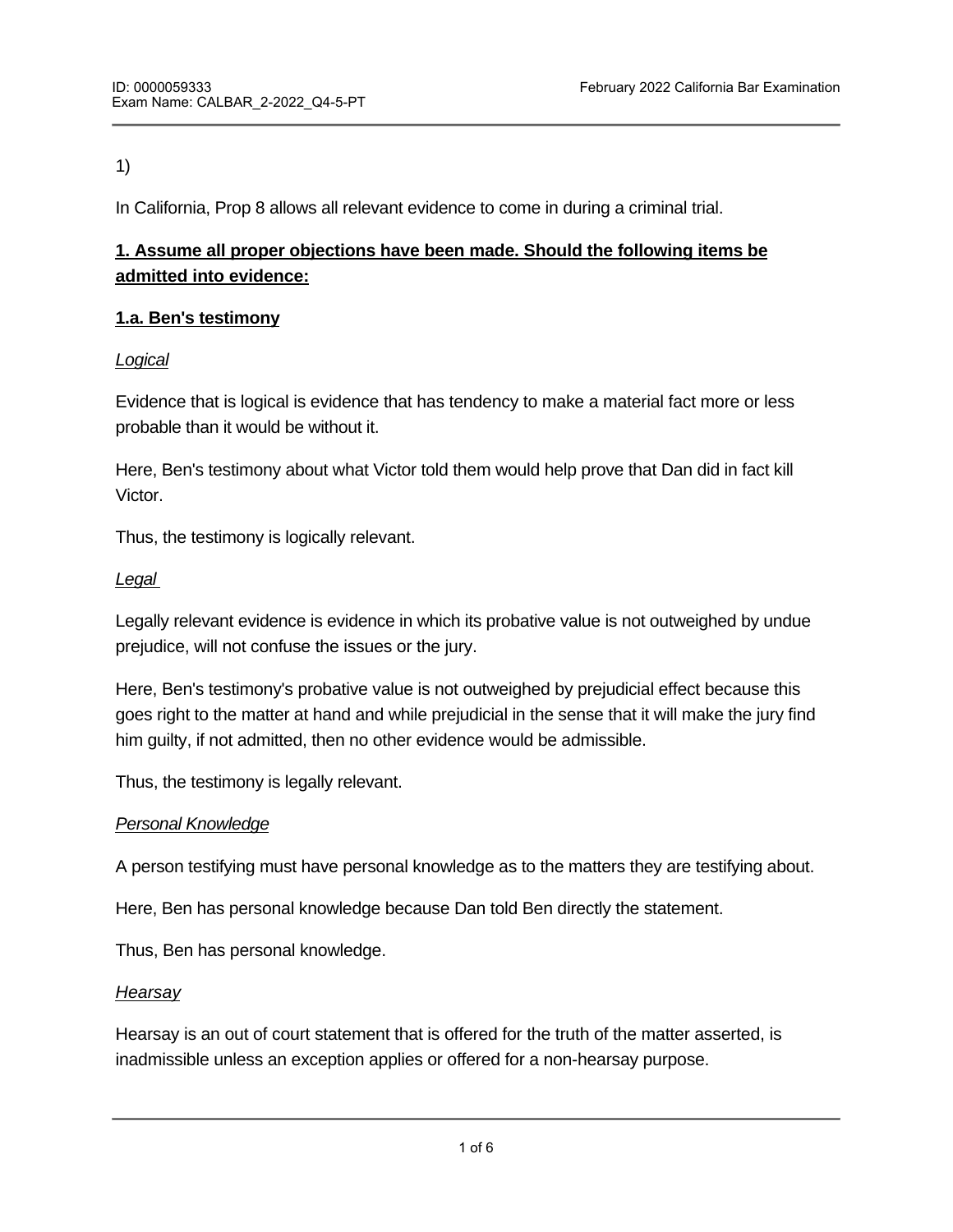## 1)

In California, Prop 8 allows all relevant evidence to come in during a criminal trial.

# **1. Assume all proper objections have been made. Should the following items be admitted into evidence:**

## **1.a. Ben's testimony**

## *Logical*

Evidence that is logical is evidence that has tendency to make a material fact more or less probable than it would be without it.

Here, Ben's testimony about what Victor told them would help prove that Dan did in fact kill Victor.

Thus, the testimony is logically relevant.

## *Legal*

Legally relevant evidence is evidence in which its probative value is not outweighed by undue prejudice, will not confuse the issues or the jury.

Here, Ben's testimony's probative value is not outweighed by prejudicial effect because this goes right to the matter at hand and while prejudicial in the sense that it will make the jury find him guilty, if not admitted, then no other evidence would be admissible.

Thus, the testimony is legally relevant.

## *Personal Knowledge*

A person testifying must have personal knowledge as to the matters they are testifying about.

Here, Ben has personal knowledge because Dan told Ben directly the statement.

Thus, Ben has personal knowledge.

## *Hearsay*

Hearsay is an out of court statement that is offered for the truth of the matter asserted, is inadmissible unless an exception applies or offered for a non-hearsay purpose.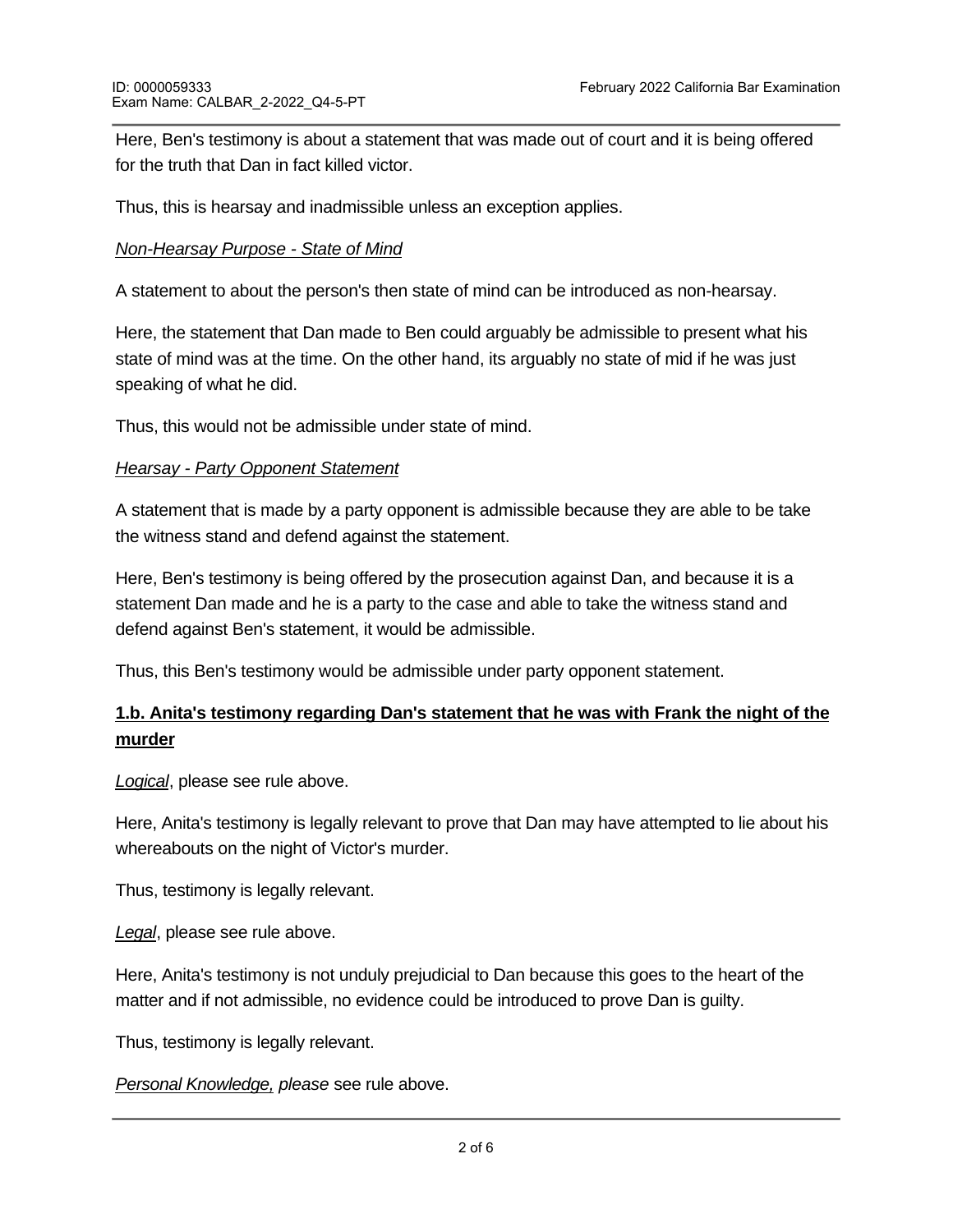Here, Ben's testimony is about a statement that was made out of court and it is being offered for the truth that Dan in fact killed victor.

Thus, this is hearsay and inadmissible unless an exception applies.

## *Non-Hearsay Purpose - State of Mind*

A statement to about the person's then state of mind can be introduced as non-hearsay.

Here, the statement that Dan made to Ben could arguably be admissible to present what his state of mind was at the time. On the other hand, its arguably no state of mid if he was just speaking of what he did.

Thus, this would not be admissible under state of mind.

## *Hearsay - Party Opponent Statement*

A statement that is made by a party opponent is admissible because they are able to be take the witness stand and defend against the statement.

Here, Ben's testimony is being offered by the prosecution against Dan, and because it is a statement Dan made and he is a party to the case and able to take the witness stand and defend against Ben's statement, it would be admissible.

Thus, this Ben's testimony would be admissible under party opponent statement.

# **1.b. Anita's testimony regarding Dan's statement that he was with Frank the night of the murder**

*Logical*, please see rule above.

Here, Anita's testimony is legally relevant to prove that Dan may have attempted to lie about his whereabouts on the night of Victor's murder.

Thus, testimony is legally relevant.

*Legal*, please see rule above.

Here, Anita's testimony is not unduly prejudicial to Dan because this goes to the heart of the matter and if not admissible, no evidence could be introduced to prove Dan is guilty.

Thus, testimony is legally relevant.

*Personal Knowledge, please* see rule above.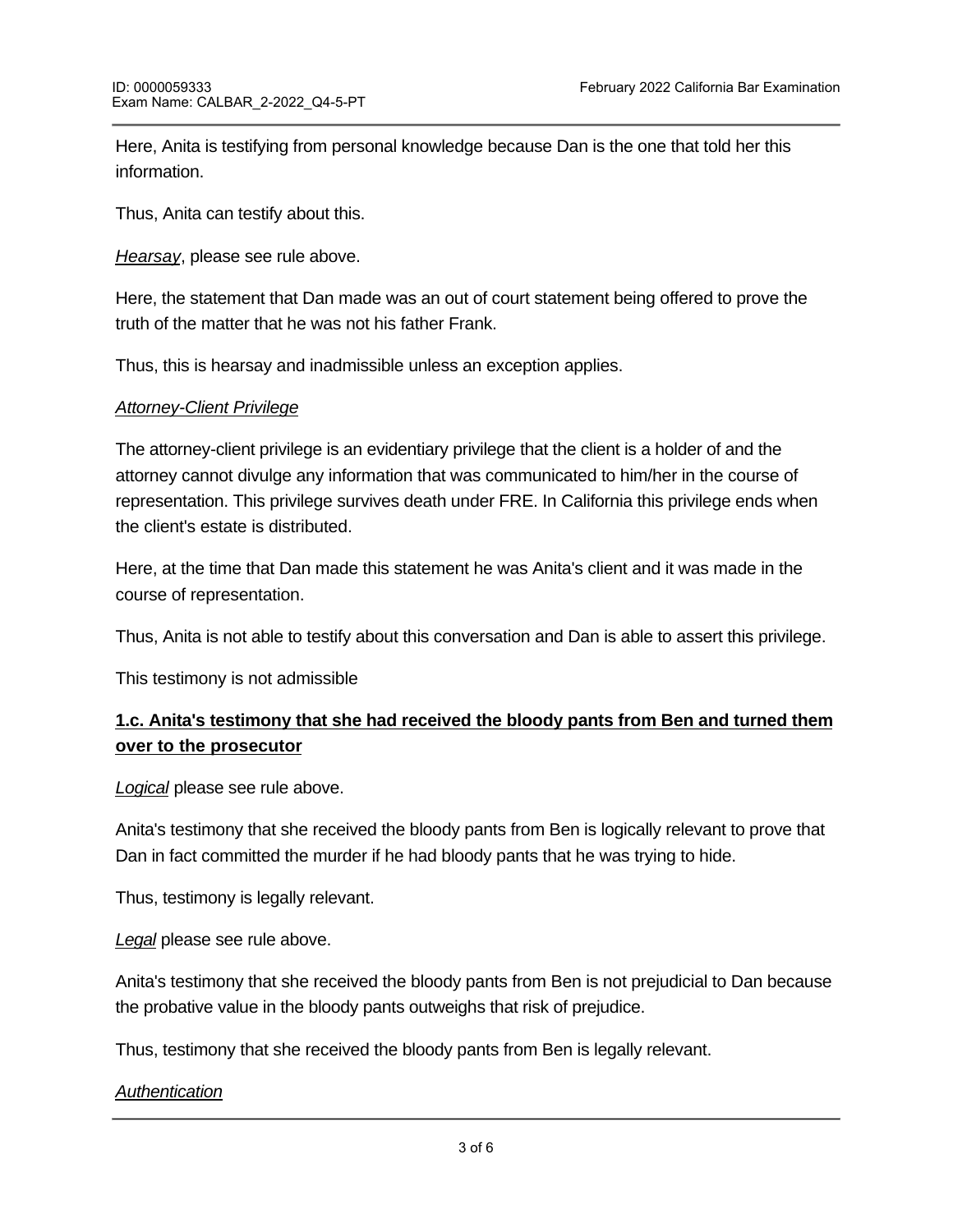Here, Anita is testifying from personal knowledge because Dan is the one that told her this information.

Thus, Anita can testify about this.

*Hearsay*, please see rule above.

Here, the statement that Dan made was an out of court statement being offered to prove the truth of the matter that he was not his father Frank.

Thus, this is hearsay and inadmissible unless an exception applies.

#### *Attorney-Client Privilege*

The attorney-client privilege is an evidentiary privilege that the client is a holder of and the attorney cannot divulge any information that was communicated to him/her in the course of representation. This privilege survives death under FRE. In California this privilege ends when the client's estate is distributed.

Here, at the time that Dan made this statement he was Anita's client and it was made in the course of representation.

Thus, Anita is not able to testify about this conversation and Dan is able to assert this privilege.

This testimony is not admissible

## **1.c. Anita's testimony that she had received the bloody pants from Ben and turned them over to the prosecutor**

*Logical* please see rule above.

Anita's testimony that she received the bloody pants from Ben is logically relevant to prove that Dan in fact committed the murder if he had bloody pants that he was trying to hide.

Thus, testimony is legally relevant.

*Legal* please see rule above.

Anita's testimony that she received the bloody pants from Ben is not prejudicial to Dan because the probative value in the bloody pants outweighs that risk of prejudice.

Thus, testimony that she received the bloody pants from Ben is legally relevant.

#### *Authentication*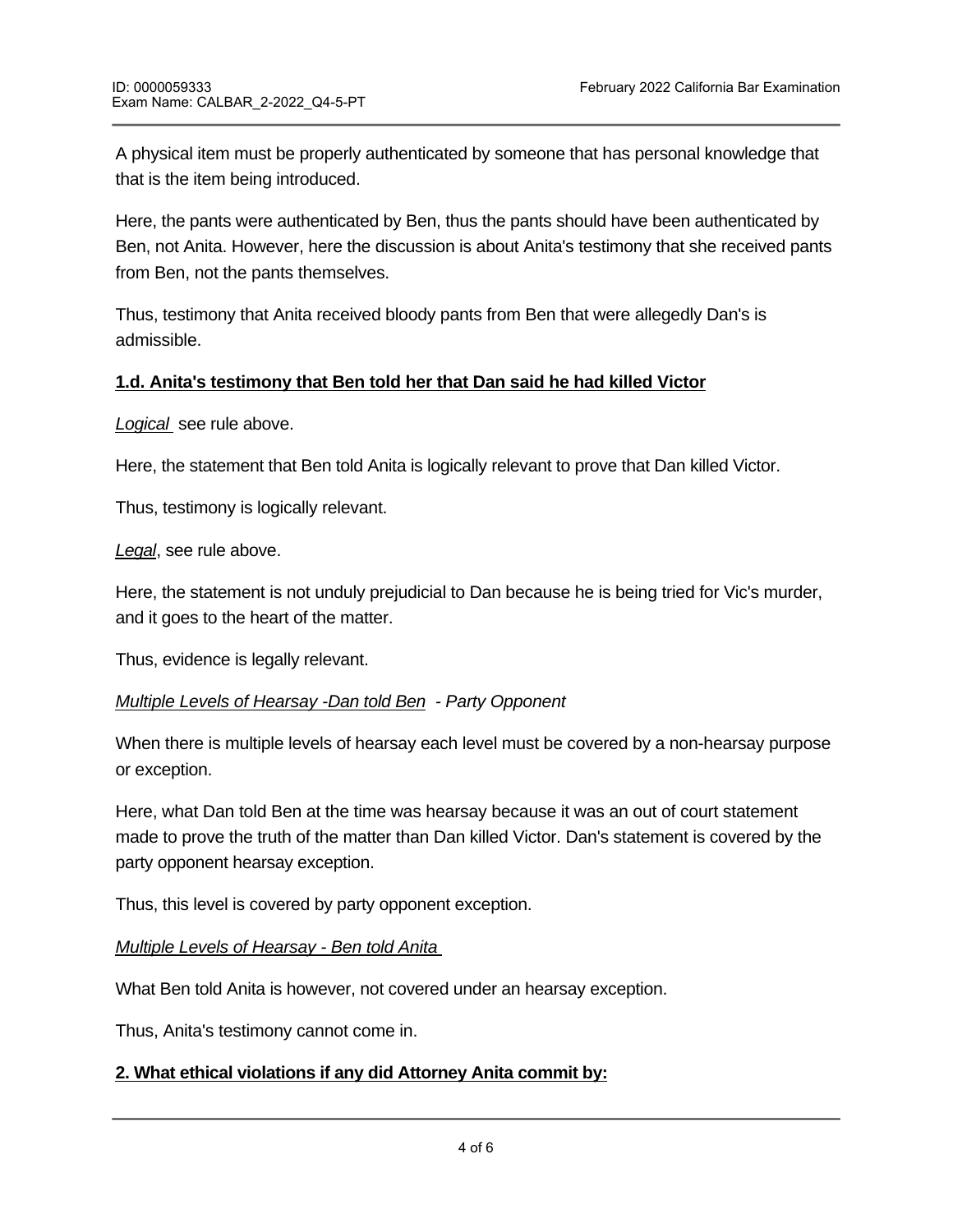A physical item must be properly authenticated by someone that has personal knowledge that that is the item being introduced.

Here, the pants were authenticated by Ben, thus the pants should have been authenticated by Ben, not Anita. However, here the discussion is about Anita's testimony that she received pants from Ben, not the pants themselves.

Thus, testimony that Anita received bloody pants from Ben that were allegedly Dan's is admissible.

## **1.d. Anita's testimony that Ben told her that Dan said he had killed Victor**

*Logical* see rule above.

Here, the statement that Ben told Anita is logically relevant to prove that Dan killed Victor.

Thus, testimony is logically relevant.

*Legal*, see rule above.

Here, the statement is not unduly prejudicial to Dan because he is being tried for Vic's murder, and it goes to the heart of the matter.

Thus, evidence is legally relevant.

## *Multiple Levels of Hearsay -Dan told Ben - Party Opponent*

When there is multiple levels of hearsay each level must be covered by a non-hearsay purpose or exception.

Here, what Dan told Ben at the time was hearsay because it was an out of court statement made to prove the truth of the matter than Dan killed Victor. Dan's statement is covered by the party opponent hearsay exception.

Thus, this level is covered by party opponent exception.

**a. turning over the bloody pants to the prosecutor**

*Multiple Levels of Hearsay - Ben told Anita* 

What Ben told Anita is however, not covered under an hearsay exception.

Thus, Anita's testimony cannot come in.

## **2. What ethical violations if any did Attorney Anita commit by:**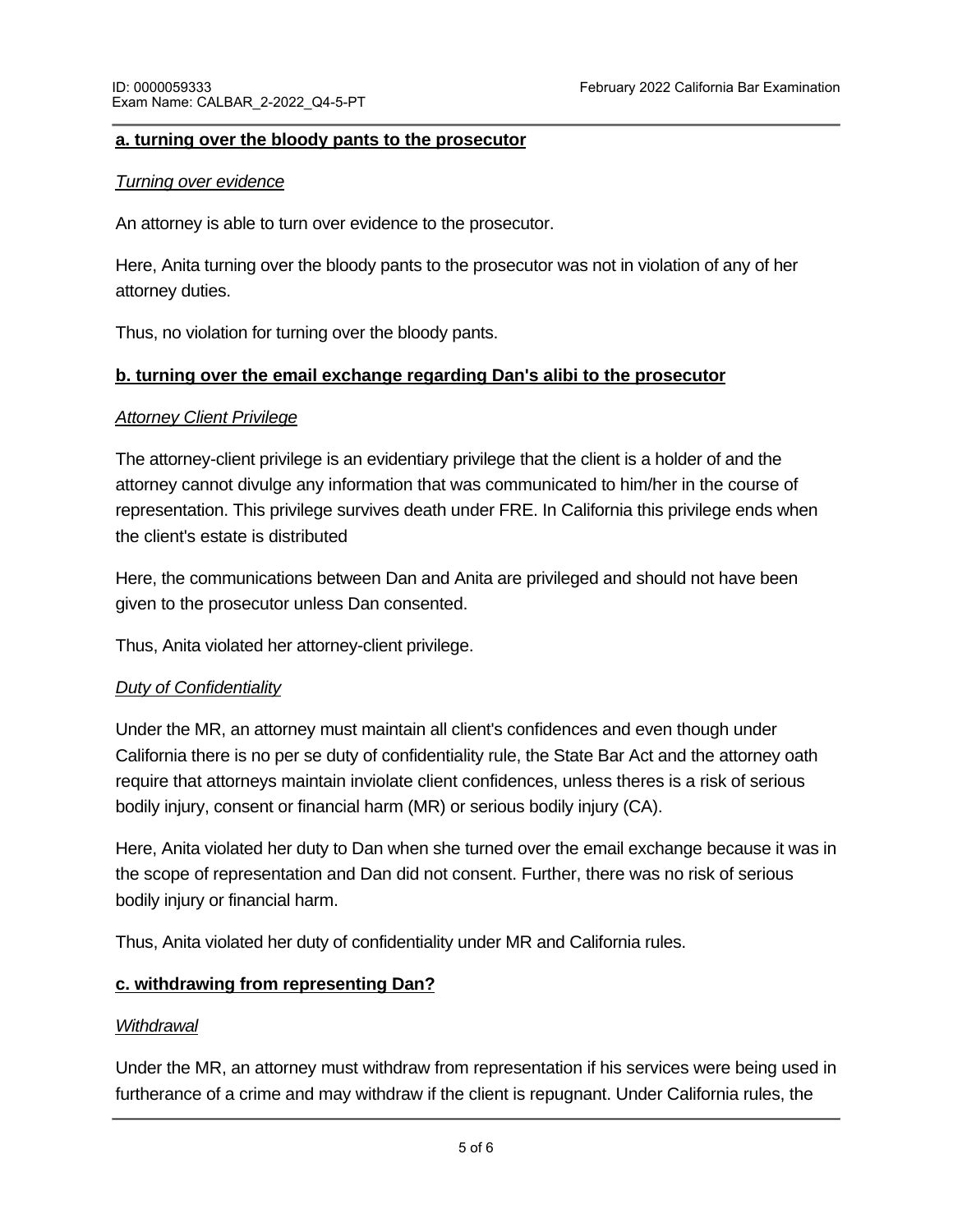### **a. turning over the bloody pants to the prosecutor**

#### *Turning over evidence*

An attorney is able to turn over evidence to the prosecutor.

Here, Anita turning over the bloody pants to the prosecutor was not in violation of any of her attorney duties.

Thus, no violation for turning over the bloody pants.

## **b. turning over the email exchange regarding Dan's alibi to the prosecutor**

### *Attorney Client Privilege*

The attorney-client privilege is an evidentiary privilege that the client is a holder of and the attorney cannot divulge any information that was communicated to him/her in the course of representation. This privilege survives death under FRE. In California this privilege ends when the client's estate is distributed

Here, the communications between Dan and Anita are privileged and should not have been given to the prosecutor unless Dan consented.

Thus, Anita violated her attorney-client privilege.

## *Duty of Confidentiality*

Under the MR, an attorney must maintain all client's confidences and even though under California there is no per se duty of confidentiality rule, the State Bar Act and the attorney oath require that attorneys maintain inviolate client confidences, unless theres is a risk of serious bodily injury, consent or financial harm (MR) or serious bodily injury (CA).

Here, Anita violated her duty to Dan when she turned over the email exchange because it was in the scope of representation and Dan did not consent. Further, there was no risk of serious bodily injury or financial harm.

Thus, Anita violated her duty of confidentiality under MR and California rules.

## **c. withdrawing from representing Dan?**

#### *Withdrawal*

Under the MR, an attorney must withdraw from representation if his services were being used in furtherance of a crime and may withdraw if the client is repugnant. Under California rules, the

attorney must withdraw if his client is filing a frivolous claims and may withdraw if the client is filing if  $\alpha$